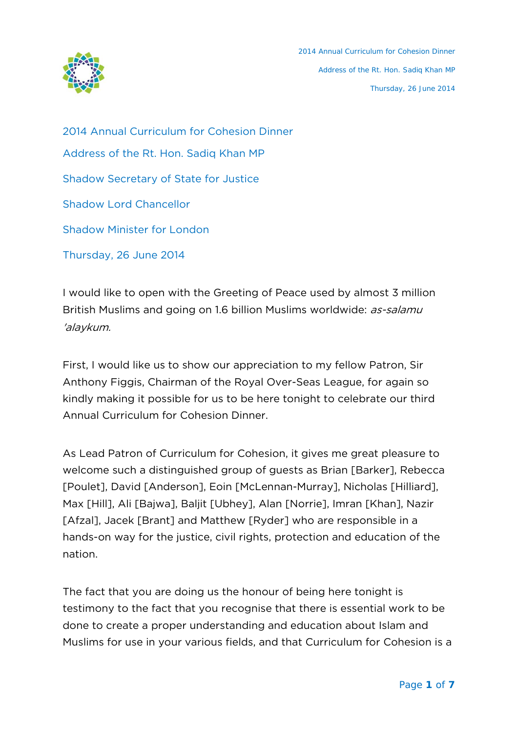

2014 Annual Curriculum for Cohesion Dinner Address of the Rt. Hon. Sadiq Khan MP Shadow Secretary of State for Justice Shadow Lord Chancellor Shadow Minister for London Thursday, 26 June 2014

I would like to open with the Greeting of Peace used by almost 3 million British Muslims and going on 1.6 billion Muslims worldwide: as-salamu 'alaykum.

First, I would like us to show our appreciation to my fellow Patron, Sir Anthony Figgis, Chairman of the Royal Over-Seas League, for again so kindly making it possible for us to be here tonight to celebrate our third Annual Curriculum for Cohesion Dinner.

As Lead Patron of Curriculum for Cohesion, it gives me great pleasure to welcome such a distinguished group of guests as Brian [Barker], Rebecca [Poulet], David [Anderson], Eoin [McLennan-Murray], Nicholas [Hilliard], Max [Hill], Ali [Bajwa], Baljit [Ubhey], Alan [Norrie], Imran [Khan], Nazir [Afzal], Jacek [Brant] and Matthew [Ryder] who are responsible in a hands-on way for the justice, civil rights, protection and education of the nation.

The fact that you are doing us the honour of being here tonight is testimony to the fact that you recognise that there is essential work to be done to create a proper understanding and education about Islam and Muslims for use in your various fields, and that Curriculum for Cohesion is a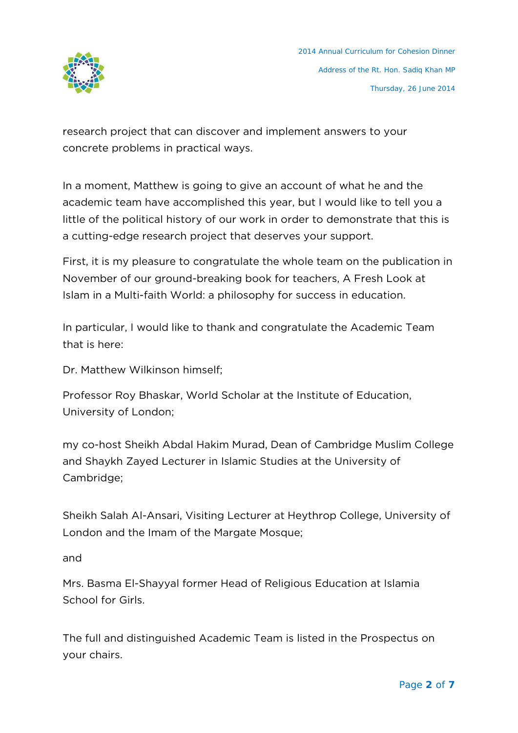

research project that can discover and implement answers to your concrete problems in practical ways.

In a moment, Matthew is going to give an account of what he and the academic team have accomplished this year, but I would like to tell you a little of the political history of our work in order to demonstrate that this is a cutting-edge research project that deserves your support.

First, it is my pleasure to congratulate the whole team on the publication in November of our ground-breaking book for teachers, A Fresh Look at Islam in a Multi-faith World: a philosophy for success in education.

In particular, I would like to thank and congratulate the Academic Team that is here:

Dr. Matthew Wilkinson himself;

Professor Roy Bhaskar, World Scholar at the Institute of Education, University of London;

my co-host Sheikh Abdal Hakim Murad, Dean of Cambridge Muslim College and Shaykh Zayed Lecturer in Islamic Studies at the University of Cambridge;

Sheikh Salah Al-Ansari, Visiting Lecturer at Heythrop College, University of London and the Imam of the Margate Mosque;

and

Mrs. Basma El-Shayyal former Head of Religious Education at Islamia School for Girls.

The full and distinguished Academic Team is listed in the Prospectus on your chairs.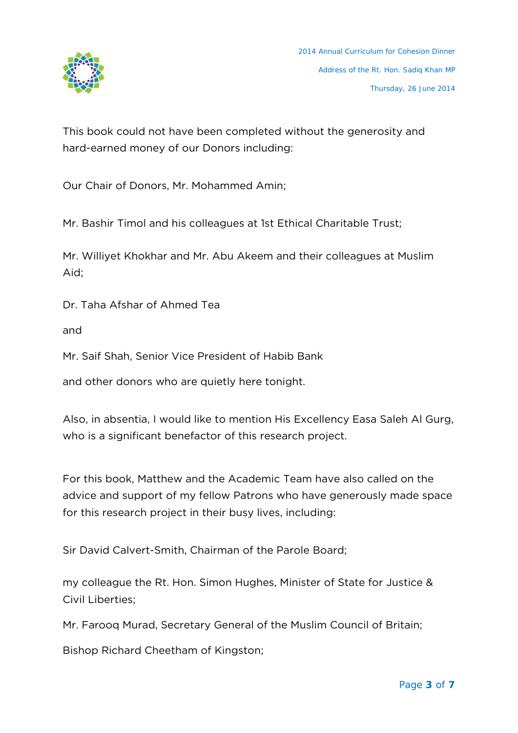

This book could not have been completed without the generosity and hard-earned money of our Donors including:

Our Chair of Donors, Mr. Mohammed Amin;

Mr. Bashir Timol and his colleagues at 1st Ethical Charitable Trust;

Mr. Williyet Khokhar and Mr. Abu Akeem and their colleagues at Muslim Aid;

Dr. Taha Afshar of Ahmed Tea

and

Mr. Saif Shah, Senior Vice President of Habib Bank

and other donors who are quietly here tonight.

Also, in absentia, I would like to mention His Excellency Easa Saleh Al Gurg, who is a significant benefactor of this research project.

For this book, Matthew and the Academic Team have also called on the advice and support of my fellow Patrons who have generously made space for this research project in their busy lives, including:

Sir David Calvert-Smith, Chairman of the Parole Board;

my colleague the Rt. Hon. Simon Hughes, Minister of State for Justice & Civil Liberties;

Mr. Farooq Murad, Secretary General of the Muslim Council of Britain;

Bishop Richard Cheetham of Kingston;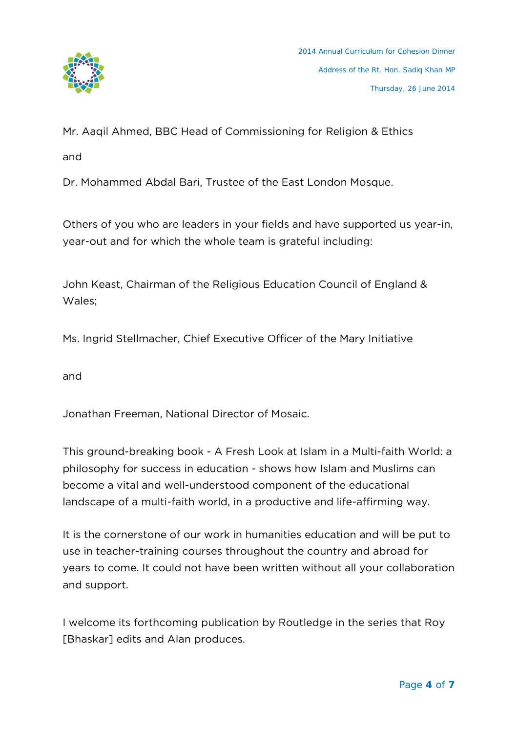

Mr. Aaqil Ahmed, BBC Head of Commissioning for Religion & Ethics

and

Dr. Mohammed Abdal Bari, Trustee of the East London Mosque.

Others of you who are leaders in your fields and have supported us year-in, year-out and for which the whole team is grateful including:

John Keast, Chairman of the Religious Education Council of England & Wales;

Ms. Ingrid Stellmacher, Chief Executive Officer of the Mary Initiative

and

Jonathan Freeman, National Director of Mosaic.

This ground-breaking book - A Fresh Look at Islam in a Multi-faith World: a philosophy for success in education - shows how Islam and Muslims can become a vital and well-understood component of the educational landscape of a multi-faith world, in a productive and life-affirming way.

It is the cornerstone of our work in humanities education and will be put to use in teacher-training courses throughout the country and abroad for years to come. It could not have been written without all your collaboration and support.

I welcome its forthcoming publication by Routledge in the series that Roy [Bhaskar] edits and Alan produces.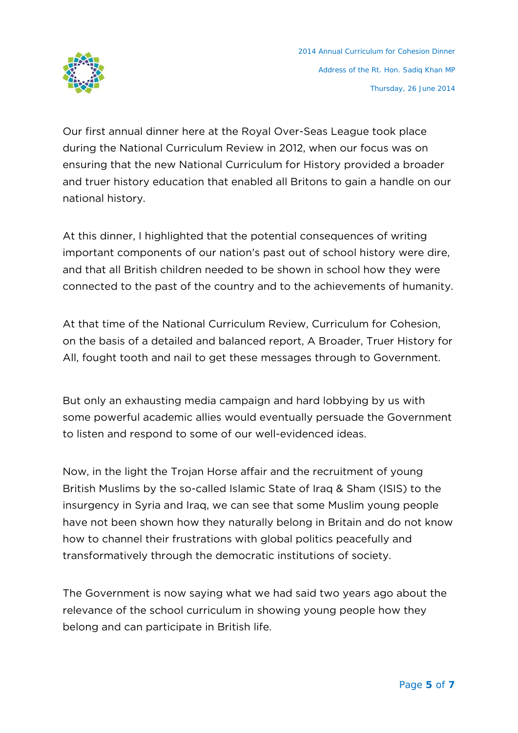

Our first annual dinner here at the Royal Over-Seas League took place during the National Curriculum Review in 2012, when our focus was on ensuring that the new National Curriculum for History provided a broader and truer history education that enabled all Britons to gain a handle on our national history.

At this dinner, I highlighted that the potential consequences of writing important components of our nation's past out of school history were dire, and that all British children needed to be shown in school how they were connected to the past of the country and to the achievements of humanity.

At that time of the National Curriculum Review, Curriculum for Cohesion, on the basis of a detailed and balanced report, A Broader, Truer History for All, fought tooth and nail to get these messages through to Government.

But only an exhausting media campaign and hard lobbying by us with some powerful academic allies would eventually persuade the Government to listen and respond to some of our well-evidenced ideas.

Now, in the light the Trojan Horse affair and the recruitment of young British Muslims by the so-called Islamic State of Iraq & Sham (ISIS) to the insurgency in Syria and Iraq, we can see that some Muslim young people have not been shown how they naturally belong in Britain and do not know how to channel their frustrations with global politics peacefully and transformatively through the democratic institutions of society.

The Government is now saying what we had said two years ago about the relevance of the school curriculum in showing young people how they belong and can participate in British life.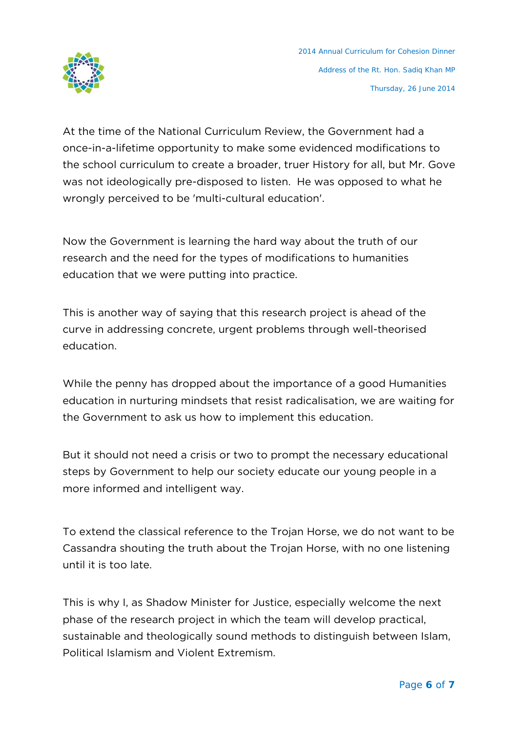

At the time of the National Curriculum Review, the Government had a once-in-a-lifetime opportunity to make some evidenced modifications to the school curriculum to create a broader, truer History for all, but Mr. Gove was not ideologically pre-disposed to listen. He was opposed to what he wrongly perceived to be 'multi-cultural education'.

Now the Government is learning the hard way about the truth of our research and the need for the types of modifications to humanities education that we were putting into practice.

This is another way of saying that this research project is ahead of the curve in addressing concrete, urgent problems through well-theorised education.

While the penny has dropped about the importance of a good Humanities education in nurturing mindsets that resist radicalisation, we are waiting for the Government to ask us how to implement this education.

But it should not need a crisis or two to prompt the necessary educational steps by Government to help our society educate our young people in a more informed and intelligent way.

To extend the classical reference to the Trojan Horse, we do not want to be Cassandra shouting the truth about the Trojan Horse, with no one listening until it is too late.

This is why I, as Shadow Minister for Justice, especially welcome the next phase of the research project in which the team will develop practical, sustainable and theologically sound methods to distinguish between Islam, Political Islamism and Violent Extremism.